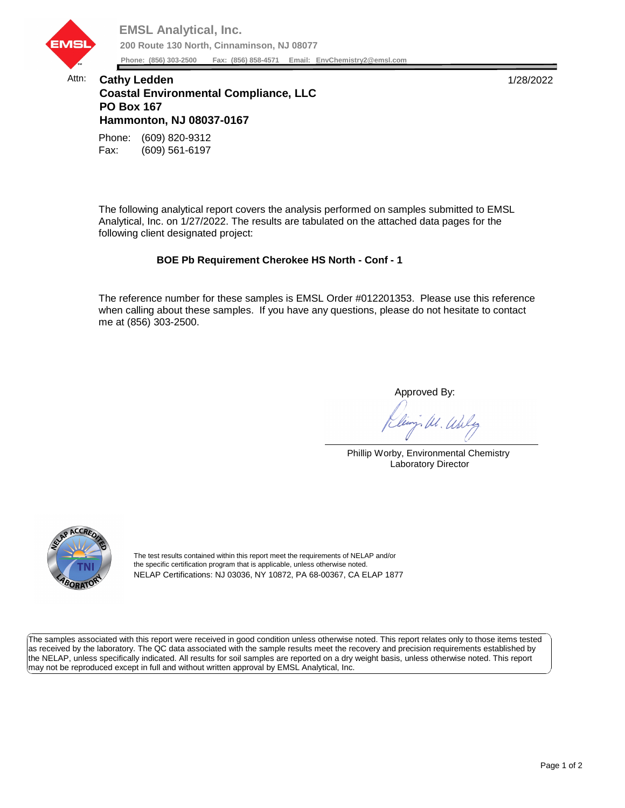

## Attn: **Cathy Ledden** 1/28/2022 **Coastal Environmental Compliance, LLC PO Box 167 Hammonton, NJ 08037-0167**

Fax: (609) 561-6197 Phone: (609) 820-9312

The following analytical report covers the analysis performed on samples submitted to EMSL Analytical, Inc. on 1/27/2022. The results are tabulated on the attached data pages for the following client designated project:

## **BOE Pb Requirement Cherokee HS North - Conf - 1**

The reference number for these samples is EMSL Order #012201353. Please use this reference when calling about these samples. If you have any questions, please do not hesitate to contact me at (856) 303-2500.

Approved By:

W. Whly

Phillip Worby, Environmental Chemistry Laboratory Director



The test results contained within this report meet the requirements of NELAP and/or the specific certification program that is applicable, unless otherwise noted. NELAP Certifications: NJ 03036, NY 10872, PA 68-00367, CA ELAP 1877

The samples associated with this report were received in good condition unless otherwise noted. This report relates only to those items tested as received by the laboratory. The QC data associated with the sample results meet the recovery and precision requirements established by the NELAP, unless specifically indicated. All results for soil samples are reported on a dry weight basis, unless otherwise noted. This report may not be reproduced except in full and without written approval by EMSL Analytical, Inc.